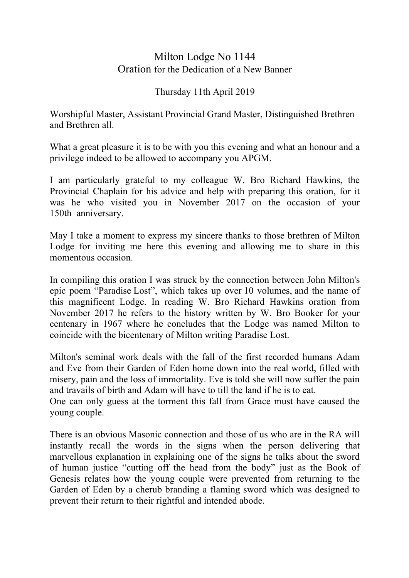## Milton Lodge No 1144 Oration for the Dedication of a New Banner

## Thursday 11th April 2019

Worshipful Master, Assistant Provincial Grand Master, Distinguished Brethren and Brethren all.

What a great pleasure it is to be with you this evening and what an honour and a privilege indeed to be allowed to accompany you APGM.

I am particularly grateful to my colleague W. Bro Richard Hawkins, the Provincial Chaplain for his advice and help with preparing this oration, for it was he who visited you in November 2017 on the occasion of your 150th anniversary.

May I take a moment to express my sincere thanks to those brethren of Milton Lodge for inviting me here this evening and allowing me to share in this momentous occasion.

In compiling this oration I was struck by the connection between John Milton's epic poem "Paradise Lost", which takes up over 10 volumes, and the name of this magnificent Lodge. In reading W. Bro Richard Hawkins oration from November 2017 he refers to the history written by W. Bro Booker for your centenary in 1967 where he concludes that the Lodge was named Milton to coincide with the bicentenary of Milton writing Paradise Lost.

Milton's seminal work deals with the fall of the first recorded humans Adam and Eve from their Garden of Eden home down into the real world, filled with misery, pain and the loss of immortality. Eve is told she will now suffer the pain and travails of birth and Adam will have to till the land if he is to eat.

One can only guess at the torment this fall from Grace must have caused the young couple.

There is an obvious Masonic connection and those of us who are in the RA will instantly recall the words in the signs when the person delivering that marvellous explanation in explaining one of the signs he talks about the sword of human justice "cutting off the head from the body" just as the Book of Genesis relates how the young couple were prevented from returning to the Garden of Eden by a cherub branding a flaming sword which was designed to prevent their return to their rightful and intended abode.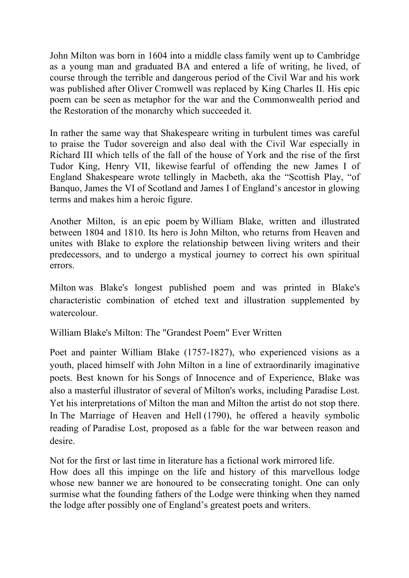John Milton was born in 1604 into a middle class family went up to Cambridge as a young man and graduated BA and entered a life of writing, he lived, of course through the terrible and dangerous period of the Civil War and his work was published after Oliver Cromwell was replaced by King Charles II. His epic poem can be seen as metaphor for the war and the Commonwealth period and the Restoration of the monarchy which succeeded it.

In rather the same way that Shakespeare writing in turbulent times was careful to praise the Tudor sovereign and also deal with the Civil War especially in Richard III which tells of the fall of the house of York and the rise of the first Tudor King, Henry VII, likewise fearful of offending the new James I of England Shakespeare wrote tellingly in Macbeth, aka the "Scottish Play, "of Banquo, James the VI of Scotland and James I of England's ancestor in glowing terms and makes him a heroic figure.

Another Milton, is an epic poem by William Blake, written and illustrated between 1804 and 1810. Its hero is John Milton, who returns from Heaven and unites with Blake to explore the relationship between living writers and their predecessors, and to undergo a mystical journey to correct his own spiritual errors.

Milton was Blake's longest published poem and was printed in Blake's characteristic combination of etched text and illustration supplemented by watercolour.

William Blake's Milton: The "Grandest Poem" Ever Written

Poet and painter William Blake (1757-1827), who experienced visions as a youth, placed himself with John Milton in a line of extraordinarily imaginative poets. Best known for his Songs of Innocence and of Experience, Blake was also a masterful illustrator of several of Milton's works, including Paradise Lost. Yet his interpretations of Milton the man and Milton the artist do not stop there. In The Marriage of Heaven and Hell (1790), he offered a heavily symbolic reading of Paradise Lost, proposed as a fable for the war between reason and desire.

Not for the first or last time in literature has a fictional work mirrored life.

How does all this impinge on the life and history of this marvellous lodge whose new banner we are honoured to be consecrating tonight. One can only surmise what the founding fathers of the Lodge were thinking when they named the lodge after possibly one of England's greatest poets and writers.